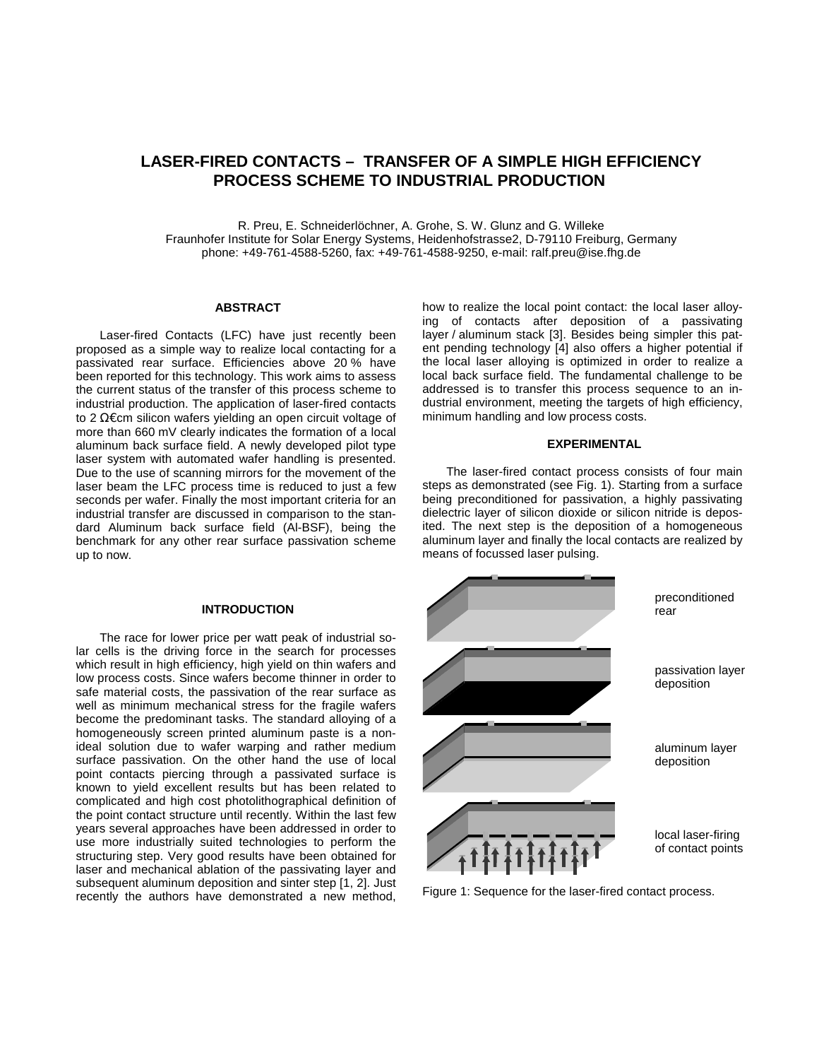# **LASER-FIRED CONTACTS – TRANSFER OF A SIMPLE HIGH EFFICIENCY PROCESS SCHEME TO INDUSTRIAL PRODUCTION**

R. Preu, E. Schneiderlöchner, A. Grohe, S. W. Glunz and G. Willeke Fraunhofer Institute for Solar Energy Systems, Heidenhofstrasse2, D-79110 Freiburg, Germany phone: +49-761-4588-5260, fax: +49-761-4588-9250, e-mail: ralf.preu@ise.fhg.de

# **ABSTRACT**

Laser-fired Contacts (LFC) have just recently been proposed as a simple way to realize local contacting for a passivated rear surface. Efficiencies above 20 % have been reported for this technology. This work aims to assess the current status of the transfer of this process scheme to industrial production. The application of laser-fired contacts to 2 Ω€cm silicon wafers yielding an open circuit voltage of more than 660 mV clearly indicates the formation of a local aluminum back surface field. A newly developed pilot type laser system with automated wafer handling is presented. Due to the use of scanning mirrors for the movement of the laser beam the LFC process time is reduced to just a few seconds per wafer. Finally the most important criteria for an industrial transfer are discussed in comparison to the standard Aluminum back surface field (Al-BSF), being the benchmark for any other rear surface passivation scheme up to now.

# **INTRODUCTION**

The race for lower price per watt peak of industrial solar cells is the driving force in the search for processes which result in high efficiency, high yield on thin wafers and low process costs. Since wafers become thinner in order to safe material costs, the passivation of the rear surface as well as minimum mechanical stress for the fragile wafers become the predominant tasks. The standard alloying of a homogeneously screen printed aluminum paste is a nonideal solution due to wafer warping and rather medium surface passivation. On the other hand the use of local point contacts piercing through a passivated surface is known to yield excellent results but has been related to complicated and high cost photolithographical definition of the point contact structure until recently. Within the last few years several approaches have been addressed in order to use more industrially suited technologies to perform the structuring step. Very good results have been obtained for laser and mechanical ablation of the passivating layer and subsequent aluminum deposition and sinter step [1, 2]. Just recently the authors have demonstrated a new method,

how to realize the local point contact: the local laser alloying of contacts after deposition of a passivating layer / aluminum stack [3]. Besides being simpler this patent pending technology [4] also offers a higher potential if the local laser alloying is optimized in order to realize a local back surface field. The fundamental challenge to be addressed is to transfer this process sequence to an industrial environment, meeting the targets of high efficiency, minimum handling and low process costs.

#### **EXPERIMENTAL**

The laser-fired contact process consists of four main steps as demonstrated (see Fig. 1). Starting from a surface being preconditioned for passivation, a highly passivating dielectric layer of silicon dioxide or silicon nitride is deposited. The next step is the deposition of a homogeneous aluminum layer and finally the local contacts are realized by means of focussed laser pulsing.



Figure 1: Sequence for the laser-fired contact process.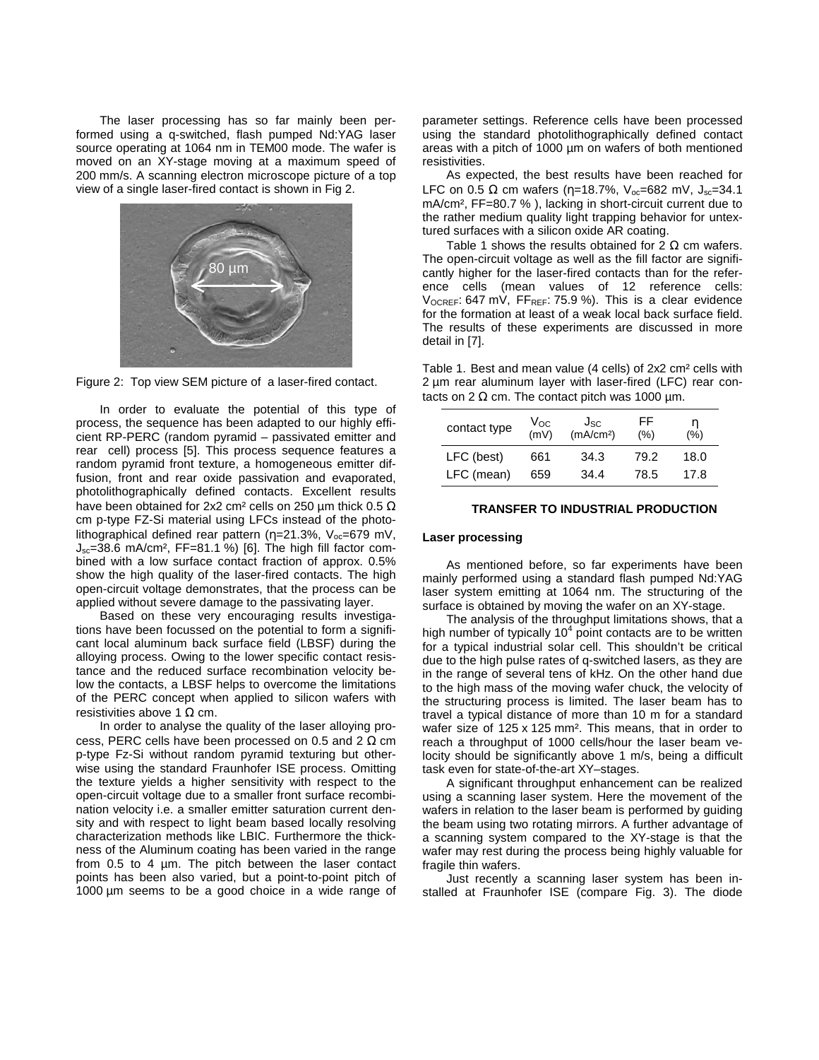The laser processing has so far mainly been performed using a q-switched, flash pumped Nd:YAG laser source operating at 1064 nm in TEM00 mode. The wafer is moved on an XY-stage moving at a maximum speed of 200 mm/s. A scanning electron microscope picture of a top view of a single laser-fired contact is shown in Fig 2.





In order to evaluate the potential of this type of process, the sequence has been adapted to our highly efficient RP-PERC (random pyramid – passivated emitter and rear cell) process [5]. This process sequence features a random pyramid front texture, a homogeneous emitter diffusion, front and rear oxide passivation and evaporated, photolithographically defined contacts. Excellent results have been obtained for 2x2 cm<sup>2</sup> cells on 250 µm thick 0.5  $\Omega$ cm p-type FZ-Si material using LFCs instead of the photolithographical defined rear pattern ( $\eta$ =21.3%, V<sub>oc</sub>=679 mV,  $J_{\text{sc}}=38.6$  mA/cm<sup>2</sup>, FF=81.1 %) [6]. The high fill factor combined with a low surface contact fraction of approx. 0.5% show the high quality of the laser-fired contacts. The high open-circuit voltage demonstrates, that the process can be applied without severe damage to the passivating layer.

Based on these very encouraging results investigations have been focussed on the potential to form a significant local aluminum back surface field (LBSF) during the alloying process. Owing to the lower specific contact resistance and the reduced surface recombination velocity below the contacts, a LBSF helps to overcome the limitations of the PERC concept when applied to silicon wafers with resistivities above 1  $Ω$  cm.

In order to analyse the quality of the laser alloying process, PERC cells have been processed on 0.5 and 2  $\Omega$  cm p-type Fz-Si without random pyramid texturing but otherwise using the standard Fraunhofer ISE process. Omitting the texture yields a higher sensitivity with respect to the open-circuit voltage due to a smaller front surface recombination velocity i.e. a smaller emitter saturation current density and with respect to light beam based locally resolving characterization methods like LBIC. Furthermore the thickness of the Aluminum coating has been varied in the range from 0.5 to 4 µm. The pitch between the laser contact points has been also varied, but a point-to-point pitch of 1000 µm seems to be a good choice in a wide range of parameter settings. Reference cells have been processed using the standard photolithographically defined contact areas with a pitch of 1000 µm on wafers of both mentioned resistivities.

As expected, the best results have been reached for LFC on 0.5 Ω cm wafers (η=18.7%, V<sub>oc</sub>=682 mV, J<sub>sc</sub>=34.1 mA/cm², FF=80.7 % ), lacking in short-circuit current due to the rather medium quality light trapping behavior for untextured surfaces with a silicon oxide AR coating.

Table 1 shows the results obtained for 2  $\Omega$  cm wafers. The open-circuit voltage as well as the fill factor are significantly higher for the laser-fired contacts than for the reference cells (mean values of 12 reference cells: V<sub>OCREF</sub>: 647 mV, FF<sub>REF</sub>: 75.9 %). This is a clear evidence for the formation at least of a weak local back surface field. The results of these experiments are discussed in more detail in [7].

Table 1. Best and mean value (4 cells) of 2x2 cm² cells with 2 µm rear aluminum layer with laser-fired (LFC) rear contacts on 2 Ω cm. The contact pitch was 1000  $\mu$ m.

| contact type | Voc<br>(mV) | J <sub>SC</sub><br>(mA/cm <sup>2</sup> ) | FF<br>(%) | n<br>(%) |
|--------------|-------------|------------------------------------------|-----------|----------|
| LFC (best)   | 661         | 34.3                                     | 79.2      | 18.0     |
| LFC (mean)   | 659         | 34.4                                     | 78.5      | 17.8     |

## **TRANSFER TO INDUSTRIAL PRODUCTION**

# **Laser processing**

As mentioned before, so far experiments have been mainly performed using a standard flash pumped Nd:YAG laser system emitting at 1064 nm. The structuring of the surface is obtained by moving the wafer on an XY-stage.

The analysis of the throughput limitations shows, that a high number of typically  $10<sup>4</sup>$  point contacts are to be written for a typical industrial solar cell. This shouldn't be critical due to the high pulse rates of q-switched lasers, as they are in the range of several tens of kHz. On the other hand due to the high mass of the moving wafer chuck, the velocity of the structuring process is limited. The laser beam has to travel a typical distance of more than 10 m for a standard wafer size of 125 x 125 mm². This means, that in order to reach a throughput of 1000 cells/hour the laser beam velocity should be significantly above 1 m/s, being a difficult task even for state-of-the-art XY–stages.

A significant throughput enhancement can be realized using a scanning laser system. Here the movement of the wafers in relation to the laser beam is performed by guiding the beam using two rotating mirrors. A further advantage of a scanning system compared to the XY-stage is that the wafer may rest during the process being highly valuable for fragile thin wafers.

Just recently a scanning laser system has been installed at Fraunhofer ISE (compare Fig. 3). The diode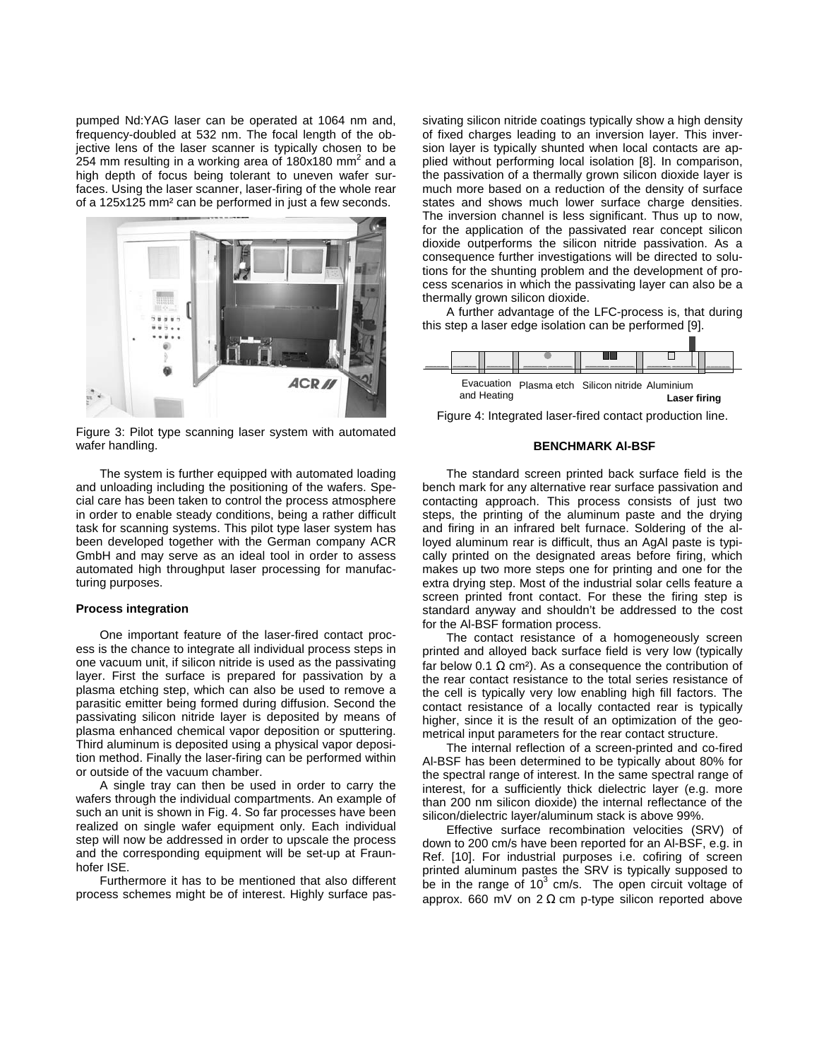pumped Nd:YAG laser can be operated at 1064 nm and, frequency-doubled at 532 nm. The focal length of the objective lens of the laser scanner is typically chosen to be 254 mm resulting in a working area of 180x180 mm<sup>2</sup> and a high depth of focus being tolerant to uneven wafer surfaces. Using the laser scanner, laser-firing of the whole rear of a 125x125 mm² can be performed in just a few seconds.



Figure 3: Pilot type scanning laser system with automated wafer handling.

The system is further equipped with automated loading and unloading including the positioning of the wafers. Special care has been taken to control the process atmosphere in order to enable steady conditions, being a rather difficult task for scanning systems. This pilot type laser system has been developed together with the German company ACR GmbH and may serve as an ideal tool in order to assess automated high throughput laser processing for manufacturing purposes.

# **Process integration**

One important feature of the laser-fired contact process is the chance to integrate all individual process steps in one vacuum unit, if silicon nitride is used as the passivating layer. First the surface is prepared for passivation by a plasma etching step, which can also be used to remove a parasitic emitter being formed during diffusion. Second the passivating silicon nitride layer is deposited by means of plasma enhanced chemical vapor deposition or sputtering. Third aluminum is deposited using a physical vapor deposition method. Finally the laser-firing can be performed within or outside of the vacuum chamber.

A single tray can then be used in order to carry the wafers through the individual compartments. An example of such an unit is shown in Fig. 4. So far processes have been realized on single wafer equipment only. Each individual step will now be addressed in order to upscale the process and the corresponding equipment will be set-up at Fraunhofer ISE.

Furthermore it has to be mentioned that also different process schemes might be of interest. Highly surface passivating silicon nitride coatings typically show a high density of fixed charges leading to an inversion layer. This inversion layer is typically shunted when local contacts are applied without performing local isolation [8]. In comparison, the passivation of a thermally grown silicon dioxide layer is much more based on a reduction of the density of surface states and shows much lower surface charge densities. The inversion channel is less significant. Thus up to now, for the application of the passivated rear concept silicon dioxide outperforms the silicon nitride passivation. As a consequence further investigations will be directed to solutions for the shunting problem and the development of process scenarios in which the passivating layer can also be a thermally grown silicon dioxide.

A further advantage of the LFC-process is, that during this step a laser edge isolation can be performed [9].

|             |  |  |  |  | Evacuation Plasma etch Silicon nitride Aluminium |              |  |  |  |
|-------------|--|--|--|--|--------------------------------------------------|--------------|--|--|--|
| and Heating |  |  |  |  |                                                  | Laser firing |  |  |  |

Figure 4: Integrated laser-fired contact production line.

#### **BENCHMARK Al-BSF**

The standard screen printed back surface field is the bench mark for any alternative rear surface passivation and contacting approach. This process consists of just two steps, the printing of the aluminum paste and the drying and firing in an infrared belt furnace. Soldering of the alloyed aluminum rear is difficult, thus an AgAl paste is typically printed on the designated areas before firing, which makes up two more steps one for printing and one for the extra drying step. Most of the industrial solar cells feature a screen printed front contact. For these the firing step is standard anyway and shouldn't be addressed to the cost for the Al-BSF formation process.

The contact resistance of a homogeneously screen printed and alloyed back surface field is very low (typically far below 0.1  $\Omega$  cm<sup>2</sup>). As a consequence the contribution of the rear contact resistance to the total series resistance of the cell is typically very low enabling high fill factors. The contact resistance of a locally contacted rear is typically higher, since it is the result of an optimization of the geometrical input parameters for the rear contact structure.

The internal reflection of a screen-printed and co-fired Al-BSF has been determined to be typically about 80% for the spectral range of interest. In the same spectral range of interest, for a sufficiently thick dielectric layer (e.g. more than 200 nm silicon dioxide) the internal reflectance of the silicon/dielectric layer/aluminum stack is above 99%.

Effective surface recombination velocities (SRV) of down to 200 cm/s have been reported for an Al-BSF, e.g. in Ref. [10]. For industrial purposes i.e. cofiring of screen printed aluminum pastes the SRV is typically supposed to be in the range of  $10<sup>3</sup>$  cm/s. The open circuit voltage of approx. 660 mV on 2 Ω cm p-type silicon reported above